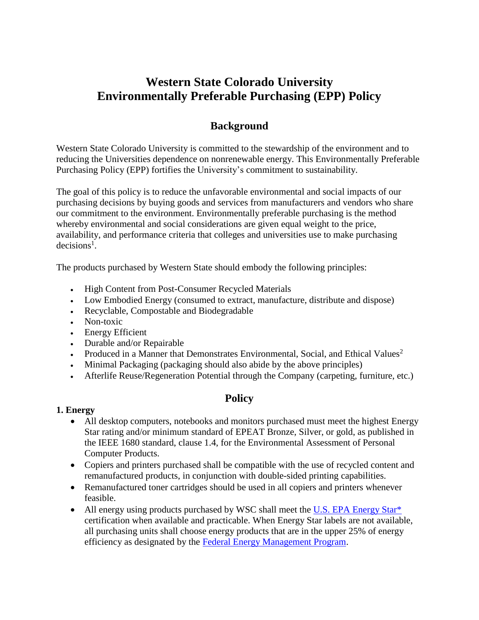# **Western State Colorado University Environmentally Preferable Purchasing (EPP) Policy**

## **Background**

Western State Colorado University is committed to the stewardship of the environment and to reducing the Universities dependence on nonrenewable energy. This Environmentally Preferable Purchasing Policy (EPP) fortifies the University's commitment to sustainability.

The goal of this policy is to reduce the unfavorable environmental and social impacts of our purchasing decisions by buying goods and services from manufacturers and vendors who share our commitment to the environment. Environmentally preferable purchasing is the method whereby environmental and social considerations are given equal weight to the price, availability, and performance criteria that colleges and universities use to make purchasing  $decisions<sup>1</sup>$ .

The products purchased by Western State should embody the following principles:

- High Content from Post-Consumer Recycled Materials
- Low Embodied Energy (consumed to extract, manufacture, distribute and dispose)
- Recyclable, Compostable and Biodegradable
- Non-toxic
- Energy Efficient
- Durable and/or Repairable
- Produced in a Manner that Demonstrates Environmental, Social, and Ethical Values<sup>2</sup>
- Minimal Packaging (packaging should also abide by the above principles)
- Afterlife Reuse/Regeneration Potential through the Company (carpeting, furniture, etc.)

## **Policy**

#### **1. Energy**

- All desktop computers, notebooks and monitors purchased must meet the highest Energy Star rating and/or minimum standard of EPEAT Bronze, Silver, or gold, as published in the IEEE 1680 standard, clause 1.4, for the Environmental Assessment of Personal Computer Products.
- Copiers and printers purchased shall be compatible with the use of recycled content and remanufactured products, in conjunction with double-sided printing capabilities.
- Remanufactured toner cartridges should be used in all copiers and printers whenever feasible.
- All energy using products purchased by WSC shall meet the U.S. EPA Energy Star<sup>\*</sup> certification when available and practicable. When Energy Star labels are not available, all purchasing units shall choose energy products that are in the upper 25% of energy efficiency as designated by the [Federal Energy Management Program.](http://www1.eere.energy.gov/femp/procurement/index.html)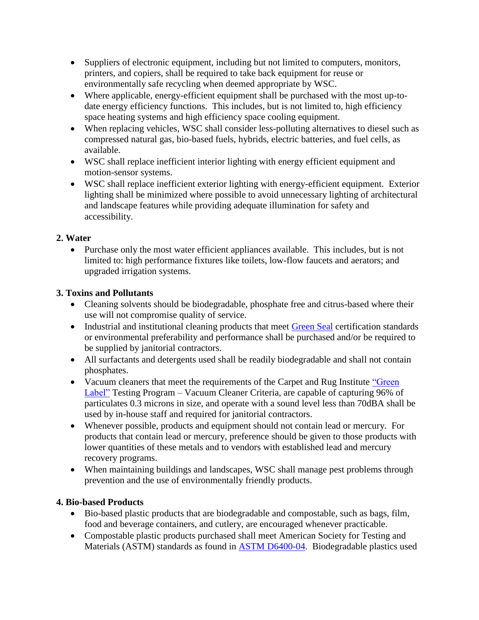- Suppliers of electronic equipment, including but not limited to computers, monitors, printers, and copiers, shall be required to take back equipment for reuse or environmentally safe recycling when deemed appropriate by WSC.
- Where applicable, energy-efficient equipment shall be purchased with the most up-todate energy efficiency functions. This includes, but is not limited to, high efficiency space heating systems and high efficiency space cooling equipment.
- When replacing vehicles, WSC shall consider less-polluting alternatives to diesel such as compressed natural gas, bio-based fuels, hybrids, electric batteries, and fuel cells, as available.
- WSC shall replace inefficient interior lighting with energy efficient equipment and motion-sensor systems.
- WSC shall replace inefficient exterior lighting with energy-efficient equipment. Exterior lighting shall be minimized where possible to avoid unnecessary lighting of architectural and landscape features while providing adequate illumination for safety and accessibility.

#### **2. Water**

• Purchase only the most water efficient appliances available. This includes, but is not limited to: high performance fixtures like toilets, low-flow faucets and aerators; and upgraded irrigation systems.

#### **3. Toxins and Pollutants**

- Cleaning solvents should be biodegradable, phosphate free and citrus-based where their use will not compromise quality of service.
- Industrial and institutional cleaning products that meet [Green Seal](http://www.greenseal.org/certification/standards.cfm) certification standards or environmental preferability and performance shall be purchased and/or be required to be supplied by janitorial contractors.
- All surfactants and detergents used shall be readily biodegradable and shall not contain phosphates.
- Vacuum cleaners that meet the requirements of the Carpet and Rug Institute "Green" [Label"](http://www.carpet-rug.org/commercial-customers/green-building-and-the-environment/green-label-plus/index.cfm) Testing Program – Vacuum Cleaner Criteria, are capable of capturing 96% of particulates 0.3 microns in size, and operate with a sound level less than 70dBA shall be used by in-house staff and required for janitorial contractors.
- Whenever possible, products and equipment should not contain lead or mercury. For products that contain lead or mercury, preference should be given to those products with lower quantities of these metals and to vendors with established lead and mercury recovery programs.
- When maintaining buildings and landscapes, WSC shall manage pest problems through prevention and the use of environmentally friendly products.

#### **4. Bio-based Products**

- Bio-based plastic products that are biodegradable and compostable, such as bags, film, food and beverage containers, and cutlery, are encouraged whenever practicable.
- Compostable plastic products purchased shall meet American Society for Testing and Materials (ASTM) standards as found in [ASTM D6400-04.](http://www.nssn.org/search/DetailResults.aspx?docid=407287&selnode=) Biodegradable plastics used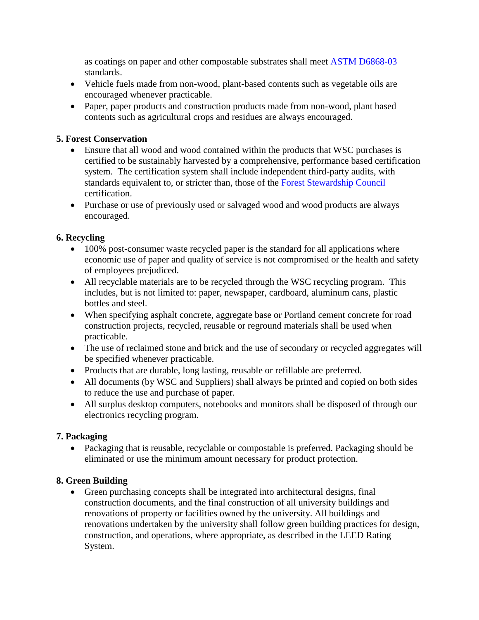as coatings on paper and other compostable substrates shall meet [ASTM D6868-03](http://www.astm.org/Standards/D6868.htm) standards.

- Vehicle fuels made from non-wood, plant-based contents such as vegetable oils are encouraged whenever practicable.
- Paper, paper products and construction products made from non-wood, plant based contents such as agricultural crops and residues are always encouraged.

#### **5. Forest Conservation**

- Ensure that all wood and wood contained within the products that WSC purchases is certified to be sustainably harvested by a comprehensive, performance based certification system. The certification system shall include independent third-party audits, with standards equivalent to, or stricter than, those of the [Forest Stewardship Council](http://www.fscus.org/faqs/what_is_certification.php) certification.
- Purchase or use of previously used or salvaged wood and wood products are always encouraged.

#### **6. Recycling**

- 100% post-consumer waste recycled paper is the standard for all applications where economic use of paper and quality of service is not compromised or the health and safety of employees prejudiced.
- All recyclable materials are to be recycled through the WSC recycling program. This includes, but is not limited to: paper, newspaper, cardboard, aluminum cans, plastic bottles and steel.
- When specifying asphalt concrete, aggregate base or Portland cement concrete for road construction projects, recycled, reusable or reground materials shall be used when practicable.
- The use of reclaimed stone and brick and the use of secondary or recycled aggregates will be specified whenever practicable.
- Products that are durable, long lasting, reusable or refillable are preferred.
- All documents (by WSC and Suppliers) shall always be printed and copied on both sides to reduce the use and purchase of paper.
- All surplus desktop computers, notebooks and monitors shall be disposed of through our electronics recycling program.

## **7. Packaging**

• Packaging that is reusable, recyclable or compostable is preferred. Packaging should be eliminated or use the minimum amount necessary for product protection.

#### **8. Green Building**

 Green purchasing concepts shall be integrated into architectural designs, final construction documents, and the final construction of all university buildings and renovations of property or facilities owned by the university. All buildings and renovations undertaken by the university shall follow green building practices for design, construction, and operations, where appropriate, as described in the LEED Rating System.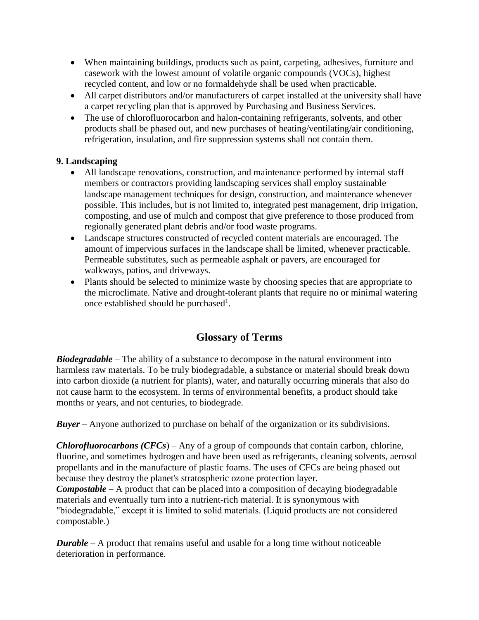- When maintaining buildings, products such as paint, carpeting, adhesives, furniture and casework with the lowest amount of volatile organic compounds (VOCs), highest recycled content, and low or no formaldehyde shall be used when practicable.
- All carpet distributors and/or manufacturers of carpet installed at the university shall have a carpet recycling plan that is approved by Purchasing and Business Services.
- The use of chlorofluorocarbon and halon-containing refrigerants, solvents, and other products shall be phased out, and new purchases of heating/ventilating/air conditioning, refrigeration, insulation, and fire suppression systems shall not contain them.

#### **9. Landscaping**

- All landscape renovations, construction, and maintenance performed by internal staff members or contractors providing landscaping services shall employ sustainable landscape management techniques for design, construction, and maintenance whenever possible. This includes, but is not limited to, integrated pest management, drip irrigation, composting, and use of mulch and compost that give preference to those produced from regionally generated plant debris and/or food waste programs.
- Landscape structures constructed of recycled content materials are encouraged. The amount of impervious surfaces in the landscape shall be limited, whenever practicable. Permeable substitutes, such as permeable asphalt or pavers, are encouraged for walkways, patios, and driveways.
- Plants should be selected to minimize waste by choosing species that are appropriate to the microclimate. Native and drought-tolerant plants that require no or minimal watering once established should be purchased<sup>1</sup>.

## **Glossary of Terms**

*Biodegradable* – The ability of a substance to decompose in the natural environment into harmless raw materials. To be truly biodegradable, a substance or material should break down into carbon dioxide (a nutrient for plants), water, and naturally occurring minerals that also do not cause harm to the ecosystem. In terms of environmental benefits, a product should take months or years, and not centuries, to biodegrade.

*Buyer* – Anyone authorized to purchase on behalf of the organization or its subdivisions.

*Chlorofluorocarbons (CFCs*) – Any of a group of compounds that contain carbon, chlorine, fluorine, and sometimes hydrogen and have been used as refrigerants, cleaning solvents, aerosol propellants and in the manufacture of plastic foams. The uses of CFCs are being phased out because they destroy the planet's stratospheric ozone protection layer.

*Compostable* – A product that can be placed into a composition of decaying biodegradable materials and eventually turn into a nutrient-rich material. It is synonymous with "biodegradable," except it is limited to solid materials. (Liquid products are not considered compostable.)

*Durable* – A product that remains useful and usable for a long time without noticeable deterioration in performance.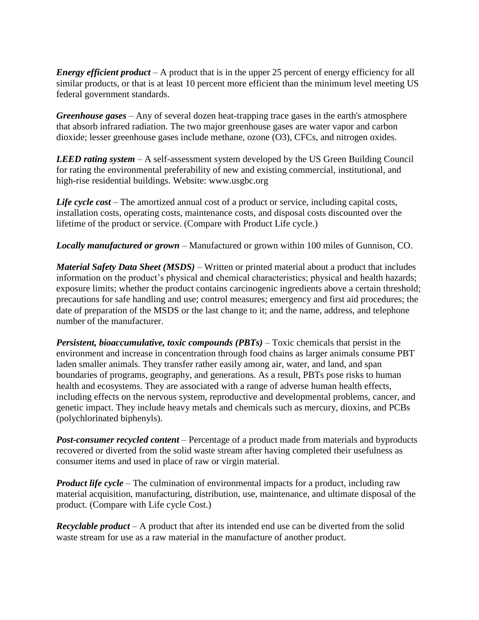*Energy efficient product* – A product that is in the upper 25 percent of energy efficiency for all similar products, or that is at least 10 percent more efficient than the minimum level meeting US federal government standards.

*Greenhouse gases* – Any of several dozen heat-trapping trace gases in the earth's atmosphere that absorb infrared radiation. The two major greenhouse gases are water vapor and carbon dioxide; lesser greenhouse gases include methane, ozone (O3), CFCs, and nitrogen oxides.

*LEED rating system* – A self-assessment system developed by the US Green Building Council for rating the environmental preferability of new and existing commercial, institutional, and high-rise residential buildings. Website: [www.usgbc.org](http://www.usgbc.org/)

Life cycle cost – The amortized annual cost of a product or service, including capital costs, installation costs, operating costs, maintenance costs, and disposal costs discounted over the lifetime of the product or service. (Compare with Product Life cycle.)

*Locally manufactured or grown* – Manufactured or grown within 100 miles of Gunnison, CO.

*Material Safety Data Sheet (MSDS)* – Written or printed material about a product that includes information on the product's physical and chemical characteristics; physical and health hazards; exposure limits; whether the product contains carcinogenic ingredients above a certain threshold; precautions for safe handling and use; control measures; emergency and first aid procedures; the date of preparation of the MSDS or the last change to it; and the name, address, and telephone number of the manufacturer.

*Persistent, bioaccumulative, toxic compounds (PBTs)* – Toxic chemicals that persist in the environment and increase in concentration through food chains as larger animals consume PBT laden smaller animals. They transfer rather easily among air, water, and land, and span boundaries of programs, geography, and generations. As a result, PBTs pose risks to human health and ecosystems. They are associated with a range of adverse human health effects, including effects on the nervous system, reproductive and developmental problems, cancer, and genetic impact. They include heavy metals and chemicals such as mercury, dioxins, and PCBs (polychlorinated biphenyls).

**Post-consumer recycled content** – Percentage of a product made from materials and byproducts recovered or diverted from the solid waste stream after having completed their usefulness as consumer items and used in place of raw or virgin material.

*Product life cycle –* The culmination of environmental impacts for a product, including raw material acquisition, manufacturing, distribution, use, maintenance, and ultimate disposal of the product. (Compare with Life cycle Cost.)

*Recyclable product* – A product that after its intended end use can be diverted from the solid waste stream for use as a raw material in the manufacture of another product.